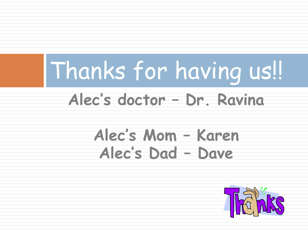# Thanks for having us!!

### **Alec's doctor – Dr. Ravina**

### **Alec's Mom – Karen Alec's Dad – Dave**

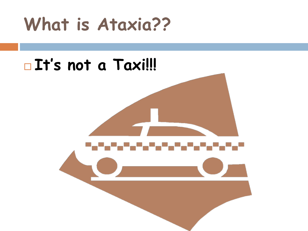### **What is Ataxia??**

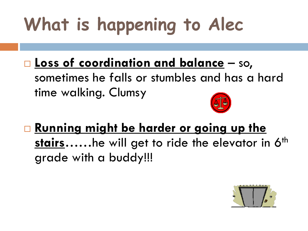## **What is happening to Alec**

#### **Loss of coordination and balance** – so, sometimes he falls or stumbles and has a hard time walking. Clumsy

□ Running might be harder or going up the stairs……he will get to ride the elevator in 6<sup>th</sup> grade with a buddy!!!

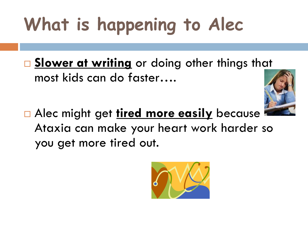## **What is happening to Alec**

**Slower at writing** or doing other things that most kids can do faster….



 Alec might get **tired more easily** because Ataxia can make your heart work harder so you get more tired out.

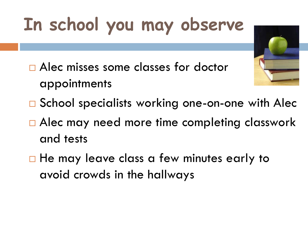## **In school you may observe**

□ Alec misses some classes for doctor appointments



- □ School specialists working one-on-one with Alec
- □ Alec may need more time completing classwork and tests
- $\Box$  He may leave class a few minutes early to avoid crowds in the hallways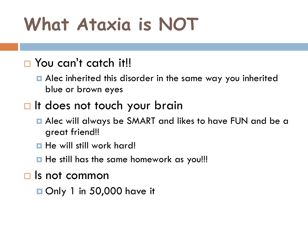## **What Ataxia is NOT**

#### □ You can't catch it!!

**E** Alec inherited this disorder in the same way you inherited blue or brown eyes

#### It does not touch your brain

- Alec will always be SMART and likes to have FUN and be a great friend!!
- $\blacksquare$  He will still work hard!
- $\blacksquare$  He still has the same homework as you!!!

#### $\Box$  Is not common

**Only 1 in 50,000 have it**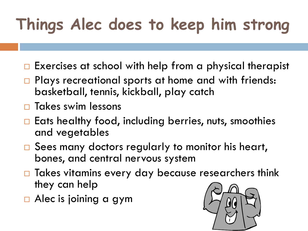### **Things Alec does to keep him strong**

- $\Box$  Exercises at school with help from a physical therapist
- □ Plays recreational sports at home and with friends: basketball, tennis, kickball, play catch
- $\square$  Takes swim lessons
- $\Box$  Eats healthy food, including berries, nuts, smoothies and vegetables
- $\Box$  Sees many doctors regularly to monitor his heart, bones, and central nervous system
- $\Box$  Takes vitamins every day because researchers think they can help
- □ Alec is joining a gym

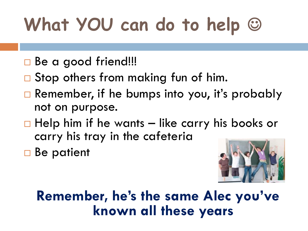## **What YOU can do to help**

- □ Be a good friend!!!
- □ Stop others from making fun of him.
- $\Box$  Remember, if he bumps into you, it's probably not on purpose.
- $\Box$  Help him if he wants like carry his books or carry his tray in the cafeteria
- **□** Be patient



#### **Remember, he's the same Alec you've known all these years**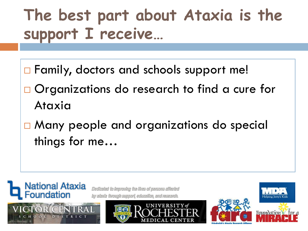### **The best part about Ataxia is the support I receive…**

- □ Family, doctors and schools support me!
- □ Organizations do research to find a cure for Ataxia
- □ Many people and organizations do special things for me…

Dedicated to improving the lives of persons affected by ataxia through support, education, and research.

**National Ataxia** 

oundation







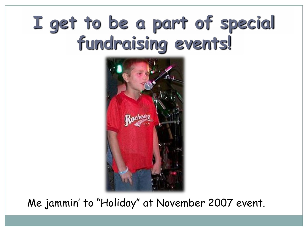### **I get to be a part of special fundraising events!**



Me jammin' to "Holiday" at November 2007 event.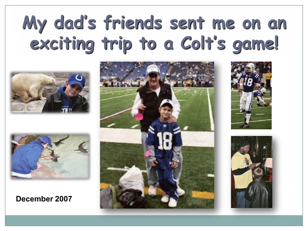### **My dad's friends sent me on an exciting trip to a Colt's game!**





**December 2007**





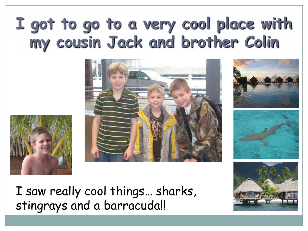### **I got to go to a very cool place with my cousin Jack and brother Colin**











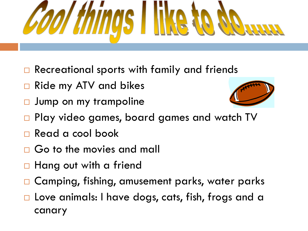

- □ Recreational sports with family and friends
- Ride my ATV and bikes
- **D** Jump on my trampoline



- □ Play video games, board games and watch TV
- Read a cool book
- □ Go to the movies and mall
- □ Hang out with a friend
- □ Camping, fishing, amusement parks, water parks
- $\Box$  Love animals: I have dogs, cats, fish, frogs and a canary